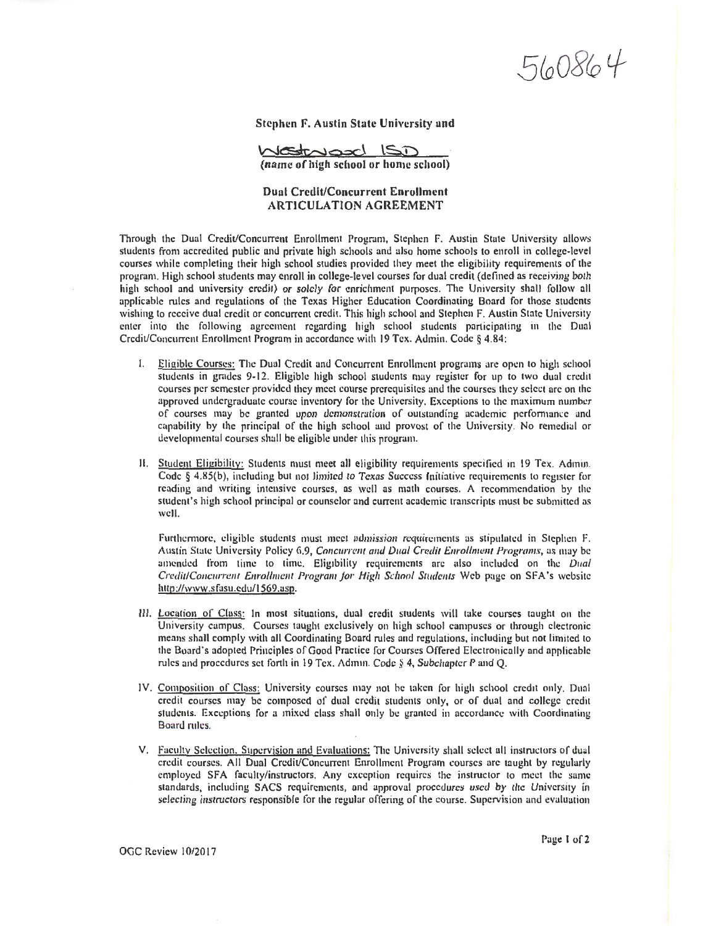560864

Stephen F. Austin State University and

<u>transcl</u> (name of high school or home school)

## Dual Credit/Concurrent Enrollment ARTICULATION AGREEMENT

Through the Dual Credit/Concurrent Enrollment Program, Stephen F. Austin State University allows students from accredited public and private high schools and also home schools to enroll in college-level courses while completing their high school studies provided they meet the eligibility requirements of the program. High school students may enroll in college-level courses for dual credit (defined as receiving both high school and university credit) or solely for enrichment purposes. The University shall follow all applicable rules and regulations of the Texas Higher Education Coordinating Board for those students wishing to receive dual credit or concurrent credit. This high school and Stephen F. Austin State University enter into the following agreement regarding high school students participating in the Dual Credit/Concurrent Enrollment Program in accordance with 19 Tex. Admin. Code § 4.84:

- 1. Eligible Courses: The Dual Credit and Concurrent Enrollment programs are open to high school students in grndcs 9-12. Eligible high school students may register for up to two dual credit courses per semester provided they meet course prerequisites and the courses they select arc on the approved undergraduate course inventory for the University. Exceptions to the maximum number of courses may be granted upon demonstration of outstanding academic pcrfommnce and capability by the principal of the high school und provost of the University. No remedial or developmental courses shall be eligible under this program.
- 11. Student Eligibility: Students must meet all eligibility requirements specified in 19 Tex. Admin. Code § 4.85(b), including but not limited to Texas Success Initiative requirements to register for reading and writing intensive courses, as well as math courses. A recommendation by the student's high school principal or counselor and current academic transcripts must be submitted ns well.

Furthermore, eligible students must meet admission requirements as stipulated in Stephen F. Austin State University Policy 6.9, *Concurrent and Dual Credit Enrollment Programs*, as may be amended from time to time. Eligibility requirements nrc also included on the *Dual Credit/Concurrent Enrollment Program for High School Students* Web page on SFA's website http://www.sfasu.edu/ 1569 .asp.

- Ill. Location or Cluss: In most situations, dual credit students will take courses taught on the University campus. Courses taught exclusively on high school campuses or through electronic means shall comply with all Coordinating Board rules and regulations, including but not limited 10 the Board's adopted Principles of Good Practice for Courses Offered Electronically and applicable rules and procedures set forth in 19 Tex. Admin. Code § 4, Subchapter P and Q.
- IV. Composition of Class: University courses may not be taken for high school credit only. Dual credit courses may be composed of dual credit students only, or of dual and college credit students. Exceptions for a mixed class shall only be granted in accordance with  $C<sub>0</sub>$  ordinating Board mies.
- V. Facultv Selection. Supervision and Evaluations: The University shall select all instructors of dual credit courses. All Dual Credit/Concurrent Enrollment Program courses are taught by regularly employed SFA faculty/instructors. Any exception requires the instructor to meet the same standards, including SACS requirements, and approval procedures used by the University in selecting instructors responsible for the regular offering of the course. Supervision and evaluation

OGC Review 10/2017